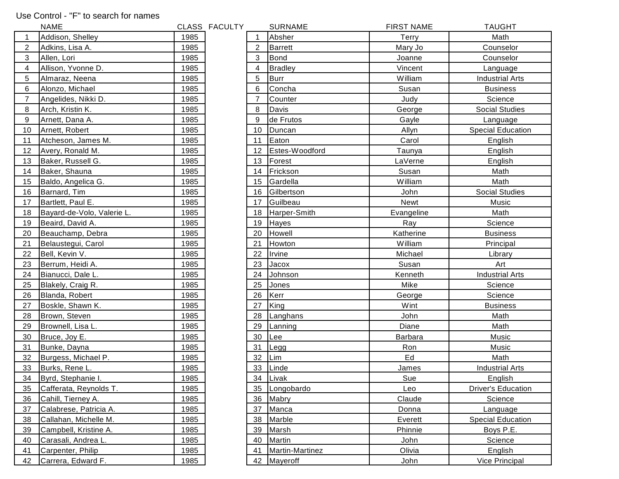## Use Control - "F" to search for names

|    | <b>NAME</b>                |      | CLASS FACULTY |    | <b>SURNAME</b>  | <b>FIRST NAME</b> | <b>TAUGHT</b>             |
|----|----------------------------|------|---------------|----|-----------------|-------------------|---------------------------|
|    | Addison, Shelley           | 1985 |               |    | Absher          | Terry             | Math                      |
| 2  | Adkins, Lisa A.            | 1985 |               | 2  | <b>Barrett</b>  | Mary Jo           | Counselor                 |
| 3  | Allen, Lori                | 1985 |               | 3  | <b>Bond</b>     | Joanne            | Counselor                 |
| 4  | Allison, Yvonne D.         | 1985 |               | 4  | <b>Bradley</b>  | Vincent           | Language                  |
| 5  | Almaraz, Neena             | 1985 |               | 5  | <b>Burr</b>     | William           | <b>Industrial Arts</b>    |
| 6  | Alonzo, Michael            | 1985 |               | 6  | Concha          | Susan             | <b>Business</b>           |
| 7  | Angelides, Nikki D.        | 1985 |               |    | Counter         | Judy              | Science                   |
| 8  | Arch, Kristin K.           | 1985 |               | 8  | Davis           | George            | <b>Social Studies</b>     |
| 9  | Arnett, Dana A.            | 1985 |               | 9  | de Frutos       | Gayle             | Language                  |
| 10 | Arnett, Robert             | 1985 |               | 10 | Duncan          | Allyn             | <b>Special Education</b>  |
| 11 | Atcheson, James M.         | 1985 |               | 11 | Eaton           | Carol             | English                   |
| 12 | Avery, Ronald M.           | 1985 |               | 12 | Estes-Woodford  | Taunya            | English                   |
| 13 | Baker, Russell G.          | 1985 |               | 13 | Forest          | LaVerne           | English                   |
| 14 | Baker, Shauna              | 1985 |               | 14 | Frickson        | Susan             | Math                      |
| 15 | Baldo, Angelica G.         | 1985 |               | 15 | Gardella        | William           | Math                      |
| 16 | Barnard, Tim               | 1985 |               | 16 | Gilbertson      | John              | <b>Social Studies</b>     |
| 17 | Bartlett, Paul E.          | 1985 |               | 17 | Guilbeau        | Newt              | Music                     |
| 18 | Bayard-de-Volo, Valerie L. | 1985 |               | 18 | Harper-Smith    | Evangeline        | Math                      |
| 19 | Beaird, David A.           | 1985 |               | 19 | Hayes           | Ray               | Science                   |
| 20 | Beauchamp, Debra           | 1985 |               | 20 | Howell          | Katherine         | <b>Business</b>           |
| 21 | Belaustegui, Carol         | 1985 |               | 21 | Howton          | William           | Principal                 |
| 22 | Bell, Kevin V.             | 1985 |               | 22 | Irvine          | Michael           | Library                   |
| 23 | Berrum, Heidi A.           | 1985 |               | 23 | Jacox           | Susan             | Art                       |
| 24 | Bianucci, Dale L.          | 1985 |               | 24 | Johnson         | Kenneth           | <b>Industrial Arts</b>    |
| 25 | Blakely, Craig R.          | 1985 |               | 25 | Jones           | Mike              | Science                   |
| 26 | Blanda, Robert             | 1985 |               | 26 | Kerr            | George            | Science                   |
| 27 | Boskle, Shawn K.           | 1985 |               | 27 | King            | Wint              | <b>Business</b>           |
| 28 | Brown, Steven              | 1985 |               | 28 | Langhans        | John              | Math                      |
| 29 | Brownell, Lisa L.          | 1985 |               | 29 | Lanning         | Diane             | Math                      |
| 30 | Bruce, Joy E.              | 1985 |               | 30 | Lee             | Barbara           | Music                     |
| 31 | Bunke, Dayna               | 1985 |               | 31 | Legg            | Ron               | Music                     |
| 32 | Burgess, Michael P.        | 1985 |               | 32 | Lim             | Ed                | Math                      |
| 33 | Burks, Rene L.             | 1985 |               | 33 | Linde           | James             | <b>Industrial Arts</b>    |
| 34 | Byrd, Stephanie I.         | 1985 |               |    | 34 Livak        | Sue               | English                   |
| 35 | Cafferata, Reynolds T.     | 1985 |               | 35 | Longobardo      | Leo               | <b>Driver's Education</b> |
| 36 | Cahill, Tierney A.         | 1985 |               | 36 | Mabry           | Claude            | Science                   |
| 37 | Calabrese, Patricia A.     | 1985 |               | 37 | Manca           | Donna             | Language                  |
| 38 | Callahan, Michelle M.      | 1985 |               | 38 | Marble          | Everett           | <b>Special Education</b>  |
| 39 | Campbell, Kristine A.      | 1985 |               | 39 | Marsh           | Phinnie           | Boys P.E.                 |
| 40 | Carasali, Andrea L.        | 1985 |               | 40 | Martin          | John              | Science                   |
| 41 | Carpenter, Philip          | 1985 |               | 41 | Martin-Martinez | Olivia            | English                   |
| 42 | Carrera, Edward F.         | 1985 |               |    | 42 Mayeroff     | John              | Vice Principal            |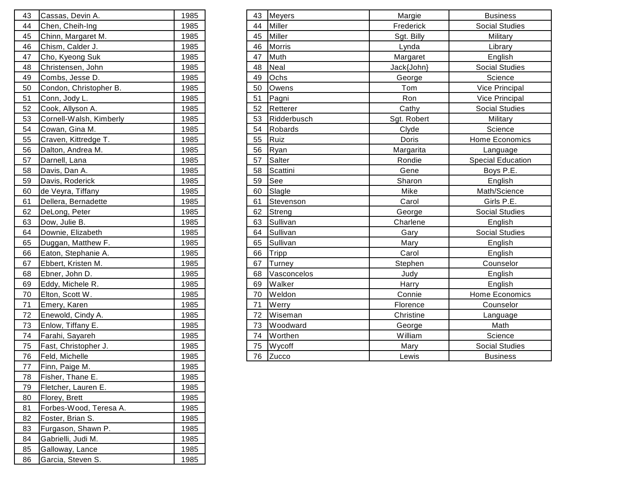| 43 | Cassas, Devin A.        | 1985 |
|----|-------------------------|------|
| 44 | Chen, Cheih-Ing         | 1985 |
| 45 | Chinn, Margaret M.      | 1985 |
| 46 | Chism, Calder J.        | 1985 |
| 47 | Cho, Kyeong Suk         | 1985 |
| 48 | Christensen, John       | 1985 |
| 49 | Combs, Jesse D.         | 1985 |
| 50 | Condon, Christopher B.  | 1985 |
| 51 | Conn, Jody L.           | 1985 |
| 52 | Cook, Allyson A.        | 1985 |
| 53 | Cornell-Walsh, Kimberly | 1985 |
| 54 | Cowan, Gina M.          | 1985 |
| 55 | Craven, Kittredge T.    | 1985 |
| 56 | Dalton, Andrea M.       | 1985 |
| 57 | Darnell, Lana           | 1985 |
| 58 | Davis, Dan A.           | 1985 |
| 59 | Davis, Roderick         | 1985 |
| 60 | de Veyra, Tiffany       | 1985 |
| 61 | Dellera, Bernadette     | 1985 |
| 62 | DeLong, Peter           | 1985 |
| 63 | Dow, Julie B.           | 1985 |
| 64 | Downie, Elizabeth       | 1985 |
| 65 | Duggan, Matthew F.      | 1985 |
| 66 | Eaton, Stephanie A.     | 1985 |
| 67 | Ebbert, Kristen M.      | 1985 |
| 68 | Ebner, John D.          | 1985 |
| 69 | Eddy, Michele R.        | 1985 |
| 70 | Elton, Scott W.         | 1985 |
| 71 | Emery, Karen            | 1985 |
| 72 | Enewold, Cindy A.       | 1985 |
| 73 | Enlow, Tiffany E.       | 1985 |
| 74 | Farahi, Sayareh         | 1985 |
| 75 | Fast, Christopher J.    | 1985 |
| 76 | Feld, Michelle          | 1985 |
| 77 | Finn, Paige M.          | 1985 |
| 78 | Fisher, Thane E.        | 1985 |
| 79 | Fletcher, Lauren E.     | 1985 |
| 80 | Florey, Brett           | 1985 |
| 81 | Forbes-Wood, Teresa A.  | 1985 |
| 82 | Foster, Brian S.        | 1985 |
| 83 | Furgason, Shawn P.      | 1985 |
| 84 | Gabrielli, Judi M.      | 1985 |
| 85 | Galloway, Lance         | 1985 |
| 86 | Garcia, Steven S.       | 1985 |

| Cassas, Devin A.<br>43         | 1985 | <b>Meyers</b><br>43  | Margie      | <b>Business</b>          |
|--------------------------------|------|----------------------|-------------|--------------------------|
| Chen, Cheih-Ing<br>44          | 1985 | Miller<br>44         | Frederick   | <b>Social Studies</b>    |
| 45<br>Chinn, Margaret M.       | 1985 | Miller<br>45         | Sgt. Billy  | Military                 |
| 46<br>Chism, Calder J.         | 1985 | <b>Morris</b><br>46  | Lynda       | Library                  |
| 47<br>Cho, Kyeong Suk          | 1985 | Muth<br>47           | Margaret    | English                  |
| <u>48</u><br>Christensen, John | 1985 | Neal<br>48           | Jack{John}  | <b>Social Studies</b>    |
| 49<br>Combs, Jesse D.          | 1985 | Ochs<br>49           | George      | Science                  |
| 50<br>Condon, Christopher B.   | 1985 | 50<br>Owens          | Tom         | Vice Principal           |
| 51<br>Conn, Jody L.            | 1985 | 51<br>Pagni          | Ron         | <b>Vice Principal</b>    |
| 52<br>Cook, Allyson A.         | 1985 | 52<br>Retterer       | Cathy       | <b>Social Studies</b>    |
| 53<br>Cornell-Walsh, Kimberly  | 1985 | Ridderbusch<br>53    | Sgt. Robert | Military                 |
| 54<br>Cowan, Gina M.           | 1985 | 54<br><b>Robards</b> | Clyde       | Science                  |
| 55<br>Craven, Kittredge T.     | 1985 | 55<br>Ruiz           | Doris       | Home Economics           |
| 56<br>Dalton, Andrea M.        | 1985 | 56<br>Ryan           | Margarita   | Language                 |
| 57<br>Darnell, Lana            | 1985 | 57<br>Salter         | Rondie      | <b>Special Education</b> |
| 58<br>Davis, Dan A.            | 1985 | 58<br>Scattini       | Gene        | Boys P.E.                |
| 59<br>Davis, Roderick          | 1985 | See<br>59            | Sharon      | English                  |
| 60<br>de Veyra, Tiffany        | 1985 | Slagle<br>60         | Mike        | Math/Science             |
| 61<br>Dellera, Bernadette      | 1985 | 61<br>Stevenson      | Carol       | Girls P.E.               |
| 62<br>DeLong, Peter            | 1985 | 62<br>Streng         | George      | <b>Social Studies</b>    |
| 63<br>Dow, Julie B.            | 1985 | Sullivan<br>63       | Charlene    | English                  |
| 64<br>Downie, Elizabeth        | 1985 | 64<br>Sullivan       | Gary        | <b>Social Studies</b>    |
| 65<br>Duggan, Matthew F.       | 1985 | Sullivan<br>65       | Mary        | English                  |
| 66<br>Eaton, Stephanie A.      | 1985 | 66<br>Tripp          | Carol       | English                  |
| 67<br>Ebbert, Kristen M.       | 1985 | 67<br>Turney         | Stephen     | Counselor                |
| 68<br>Ebner, John D.           | 1985 | Vasconcelos<br>68    | Judy        | English                  |
| 69<br>Eddy, Michele R.         | 1985 | Walker<br>69         | Harry       | English                  |
| 70<br>Elton, Scott W.          | 1985 | Weldon<br>70         | Connie      | Home Economics           |
| 71<br>Emery, Karen             | 1985 | 71<br>Werry          | Florence    | Counselor                |
| 72<br>Enewold, Cindy A.        | 1985 | 72<br>Wiseman        | Christine   | Language                 |
| 73<br>Enlow, Tiffany E.        | 1985 | Woodward<br>73       | George      | Math                     |
| 74<br>Farahi, Sayareh          | 1985 | Worthen<br>74        | William     | Science                  |
| 75<br>Fast, Christopher J.     | 1985 | Wycoff<br>75         | Mary        | <b>Social Studies</b>    |
| 76<br>Feld, Michelle           | 1985 | Zucco<br>76          | Lewis       | <b>Business</b>          |
| 77<br><b>IFinn Paige M</b>     | 1985 |                      |             |                          |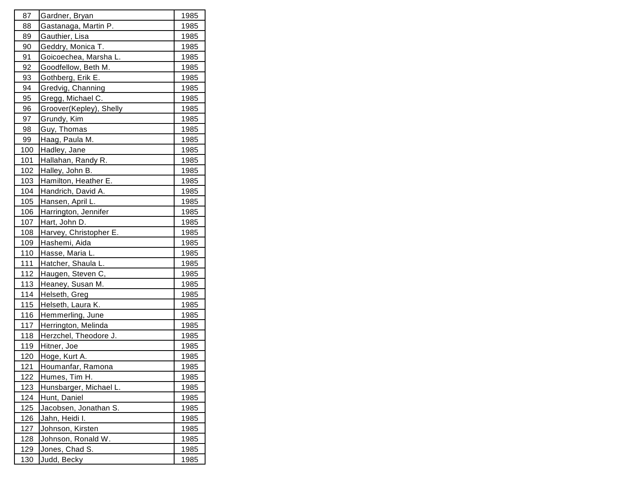| 87          | Gardner, Bryan          | 1985         |
|-------------|-------------------------|--------------|
| 88          | Gastanaga, Martin P.    | 1985         |
| 89          | Gauthier, Lisa          | <u>1985</u>  |
| 90          | Geddry, Monica T.       | 1985         |
| 91          | Goicoechea, Marsha L.   | 1985         |
| 92          | Goodfellow, Beth M.     | 1985         |
| 93          | Gothberg, Erik E.       | 1 <u>985</u> |
| 94          | Gredvig, Channing       | 1985         |
| 95          | Gregg, Michael C.       | 1985         |
| 96          | Groover(Kepley), Shelly | 1985         |
| 97          | Grundy, Kim             | 1985         |
| 98          | Guy, Thomas             | 1985         |
| 99          | Haag, Paula M.          | 1985         |
| 100         | Hadley, Jane            | 1985         |
| 101         | Hallahan, Randy R.      | 1985         |
| 102         | Halley, John B.         | 1985         |
| 103         | Hamilton, Heather E.    | 1 <u>985</u> |
| 104         | Handrich, David A.      | 1985         |
| 105         | Hansen, April L.        | 1985         |
| 106         | Harrington, Jennifer    | <u>1985</u>  |
| 107         | Hart, John D.           | 1985         |
| 108         | Harvey, Christopher E.  | 1985         |
| <u>109</u>  | Hashemi, Aida           | 1985         |
| 110         | Hasse, Maria L.         | 1985         |
| 111         | Hatcher, Shaula L.      | 1985         |
| 112         | Haugen, Steven C,       | 1985         |
| 113         | Heaney, Susan M.        | <u> 1985</u> |
| 114         | Helseth, Greg           | 1985         |
| 115         | Helseth, Laura K.       | 1985         |
| 116         | Hemmerling, June        | <u>1985</u>  |
| 117         | Herrington, Melinda     | 1985         |
| 118         | Herzchel, Theodore J.   | 1985         |
| 119         | Hitner, Joe             | 1985         |
| 120         | Hoge, Kurt A.           | 1985         |
| 121         | Houmanfar, Ramona       | 1985         |
| 122         | Humes, Tim H.           | 1985         |
| <u> 123</u> | Hunsbarger, Michael L.  | <u>1985</u>  |
| 124         | Hunt, Daniel            | 1985         |
| 125         | Jacobsen, Jonathan S.   | 1985         |
| 126         | Jahn, Heidi I.          | 1985         |
| 127         | Johnson, Kirsten        | 1985         |
| 128         | Johnson, Ronald W.      | 1985         |
| <u>129</u>  | Jones, Chad S.          | 1985         |
| 130         | Judd, Becky             | 1985         |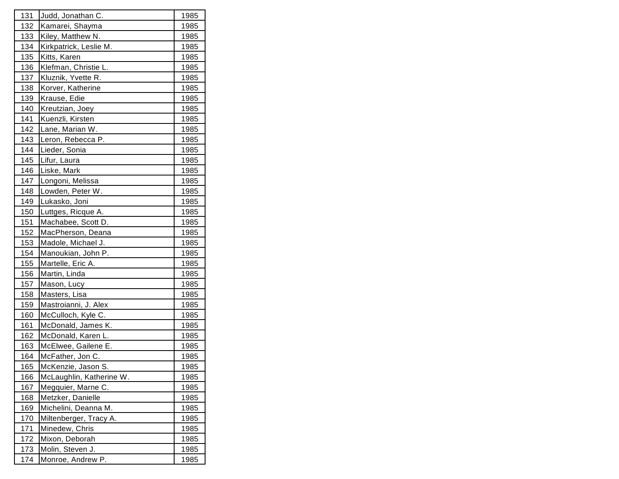| 131         | Judd, Jonathan C.        | 1985         |
|-------------|--------------------------|--------------|
| 132         | Kamarei, Shayma          | 1985         |
| 133         | Kiley, Matthew N.        | 1985         |
| 134         | Kirkpatrick, Leslie M.   | 1985         |
| 135         | Kitts, Karen             | 1985         |
| 136         | Klefman, Christie L.     | 1985         |
| 137         | Kluznik, Yvette R.       | 1985         |
| 138         | Korver, Katherine        | <u>1985</u>  |
| 139         | Krause, Edie             | 1985         |
| 140         | Kreutzian, Joey          | 1985         |
| 141         | Kuenzli, Kirsten         | 1985         |
| <u> 142</u> | Lane, Marian W.          | 1985         |
| 143         | Leron, Rebecca P.        | 1985         |
| 144         | Lieder, Sonia            | 1985         |
| 145         | Lifur, Laura             | 1985         |
| 146         | Liske, Mark              | 1985         |
| 147         | Longoni, Melissa         | 1985         |
| 148         | Lowden, Peter W.         | 1985         |
| 149         | Lukasko, Joni            | 1985         |
| 150         | Luttges, Ricque A.       | 1985         |
| 151         | Machabee, Scott D.       | 1985         |
| 152         | MacPherson, Deana        | <u> 1985</u> |
| 153         | Madole, Michael J.       | 1985         |
| 154         | Manoukian, John P.       | 1985         |
| 155         | Martelle, Eric A.        | 1985         |
| 156         | Martin, Linda            | 1985         |
| 157         | Mason, Lucy              | <u> 1985</u> |
| 158         | Masters, Lisa            | 1985         |
| 159         | Mastroianni, J. Alex     | 1985         |
| 160         | McCulloch, Kyle C.       | 1985         |
| 161         | McDonald, James K.       | 1985         |
| 162         | McDonald, Karen L.       | 1985         |
| 163         | McElwee, Gailene E.      | 1985         |
| 164         | McFather, Jon C.         | 1985         |
| 165         | McKenzie, Jason S.       | 1985         |
| 166         | McLaughlin, Katherine W. | 1985         |
| 167         | Megquier, Marne C.       | <u>1985</u>  |
| 168         | Metzker, Danielle        | 1985         |
| 169         | Michelini, Deanna M.     | 1985         |
| 170         | Miltenberger, Tracy A.   | 1985         |
| 171         | Minedew, Chris           | 1985         |
| 172         | Mixon, Deborah           | 1985         |
| 173         | Molin, Steven J.         | 1985         |
| 174         | Monroe, Andrew P.        | 1985         |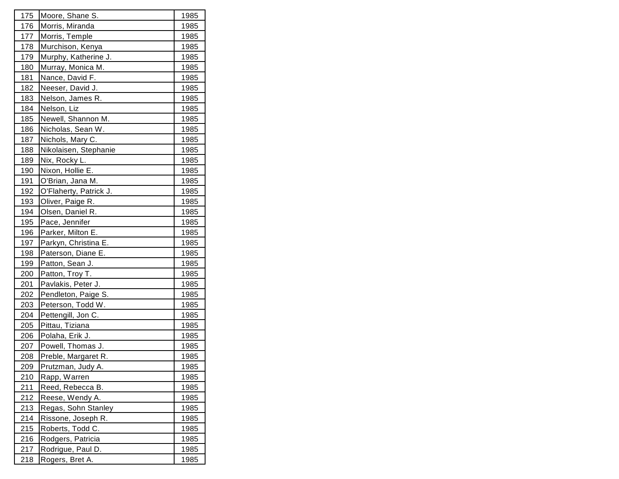| 175        | Moore, Shane S.        | 1985         |
|------------|------------------------|--------------|
| 176        | Morris, Miranda        | 1985         |
| 177        | Morris, Temple         | <u>1985</u>  |
| 178        | Murchison, Kenya       | 1985         |
| 179        | Murphy, Katherine J.   | 1985         |
| 180        | Murray, Monica M.      | 1985         |
| 181        | Nance, David F.        | 1985         |
| 182        | Neeser, David J.       | <u>1985</u>  |
| 183        | Nelson, James R.       | <u> 1985</u> |
| 184        | Nelson, Liz            | 1985         |
| 185        | Newell, Shannon M.     | 1985         |
| 186        | Nicholas, Sean W.      | 1985         |
| 187        | Nichols, Mary C.       | <u>1985</u>  |
| 188        | Nikolaisen, Stephanie  | 1985         |
| 189        | Nix, Rocky L.          | 1985         |
| 190        | Nixon, Hollie E.       | 1985         |
| 191        | O'Brian, Jana M.       | 1985         |
| <u>192</u> | O'Flaherty, Patrick J. | 1985         |
| 193        | Oliver, Paige R.       | 1985         |
| 194        | Olsen, Daniel R.       | 1985         |
| 195        | Pace, Jennifer         | 1985         |
| 196        | Parker, Milton E.      | 1985         |
| 197        | Parkyn, Christina E.   | 1985         |
| 198        | Paterson, Diane E.     | 1985         |
| 199        | Patton, Sean J.        | 1985         |
| 200        | Patton, Troy T.        | 1985         |
| 201        | Pavlakis, Peter J.     | <u>1985</u>  |
| <u>202</u> | Pendleton, Paige S.    | 1985         |
| 203        | Peterson, Todd W.      | 1985         |
| 204        | Pettengill, Jon C.     | 1985         |
| 205        | Pittau, Tiziana        | 1985         |
| 206        | Polaha, Erik J.        | 1985         |
| 207        | Powell, Thomas J.      | 1985         |
| 208        | Preble, Margaret R.    | 1985         |
| 209        | Prutzman, Judy A.      | 1985         |
| 210        | Rapp, Warren           | 1985         |
| <u>211</u> | Reed, Rebecca B.       | 1985         |
| 212        | Reese, Wendy A.        | 1985         |
| 213        | Regas, Sohn Stanley    | 1985         |
| 214        | Rissone, Joseph R.     | 1985         |
| 215        | Roberts, Todd C.       | 1985         |
| 216        | Rodgers, Patricia      | 1985         |
| 217        | Rodrigue, Paul D.      | 1985         |
| 218        | Rogers, Bret A.        | 1985         |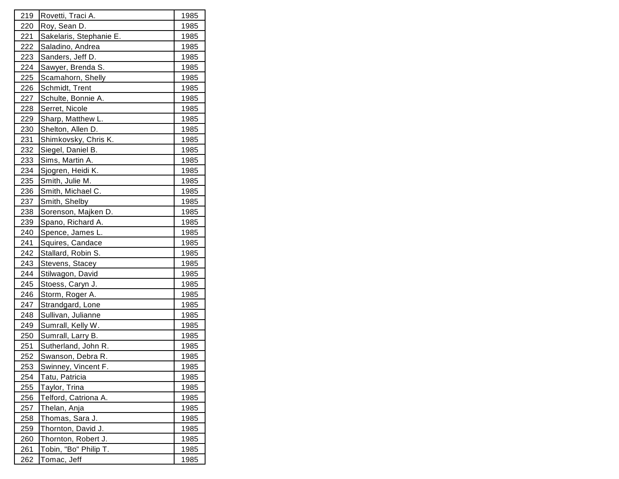| 219         | Rovetti, Traci A.       | 1985 |
|-------------|-------------------------|------|
| 220         | Roy, Sean D.            | 1985 |
| 221         | Sakelaris, Stephanie E. | 1985 |
| 222         | Saladino, Andrea        | 1985 |
| 223         | Sanders, Jeff D.        | 1985 |
| 224         | Sawyer, Brenda S.       | 1985 |
| <u>225</u>  | Scamahorn, Shelly       | 1985 |
| <u>226</u>  | Schmidt, Trent          | 1985 |
| 227         | Schulte, Bonnie A.      | 1985 |
| 228         | Serret, Nicole          | 1985 |
| 229         | Sharp, Matthew L.       | 1985 |
| 230         | Shelton, Allen D.       | 1985 |
| 231         | Shimkovsky, Chris K.    | 1985 |
| 232         | Siegel, Daniel B.       | 1985 |
| 233         | Sims, Martin A.         | 1985 |
| 234         | Sjogren, Heidi K.       | 1985 |
| 235         | Smith, Julie M.         | 1985 |
| <u>236</u>  | Smith, Michael C.       | 1985 |
| 237         | Smith, Shelby           | 1985 |
| 238         | Sorenson, Majken D.     | 1985 |
| 239         | Spano, Richard A.       | 1985 |
| 240         | Spence, James L.        | 1985 |
| 241         | Squires, Candace        | 1985 |
| 242         | Stallard, Robin S.      | 1985 |
| 243         | Stevens, Stacey         | 1985 |
| 244         | Stilwagon, David        | 1985 |
| 245         | Stoess, Caryn J.        | 1985 |
| 246         | Storm, Roger A.         | 1985 |
| 247         | Strandgard, Lone        | 1985 |
| 248         | Sullivan, Julianne      | 1985 |
| 249         | Sumrall, Kelly W.       | 1985 |
| 250         | Sumrall, Larry B.       | 1985 |
| 251         | Sutherland, John R.     | 1985 |
| 252         | Swanson, Debra R.       | 1985 |
| <u>253</u>  | Swinney, Vincent F.     | 1985 |
| 254         | Tatu, Patricia          | 1985 |
| <u> 255</u> | Taylor, Trina           | 1985 |
| 256         | Telford, Catriona A.    | 1985 |
| 257         | Thelan, Anja            | 1985 |
| 258         | Thomas, Sara J.         | 1985 |
| 259         | Thornton, David J.      | 1985 |
| 260         | Thornton, Robert J.     | 1985 |
| 261         | Tobin, "Bo" Philip T.   | 1985 |
| 262         | Tomac, Jeff             | 1985 |